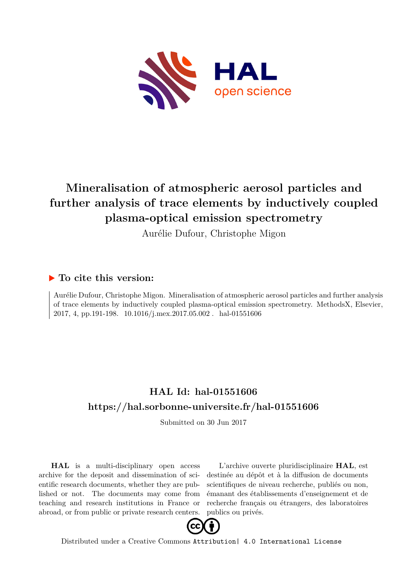

# **Mineralisation of atmospheric aerosol particles and further analysis of trace elements by inductively coupled plasma-optical emission spectrometry**

Aurélie Dufour, Christophe Migon

### **To cite this version:**

Aurélie Dufour, Christophe Migon. Mineralisation of atmospheric aerosol particles and further analysis of trace elements by inductively coupled plasma-optical emission spectrometry. MethodsX, Elsevier, 2017, 4, pp.191-198. 10.1016/j.mex.2017.05.002. hal-01551606

## **HAL Id: hal-01551606 <https://hal.sorbonne-universite.fr/hal-01551606>**

Submitted on 30 Jun 2017

**HAL** is a multi-disciplinary open access archive for the deposit and dissemination of scientific research documents, whether they are published or not. The documents may come from teaching and research institutions in France or abroad, or from public or private research centers.

L'archive ouverte pluridisciplinaire **HAL**, est destinée au dépôt et à la diffusion de documents scientifiques de niveau recherche, publiés ou non, émanant des établissements d'enseignement et de recherche français ou étrangers, des laboratoires publics ou privés.



Distributed under a Creative Commons [Attribution| 4.0 International License](http://creativecommons.org/licenses/by/4.0/)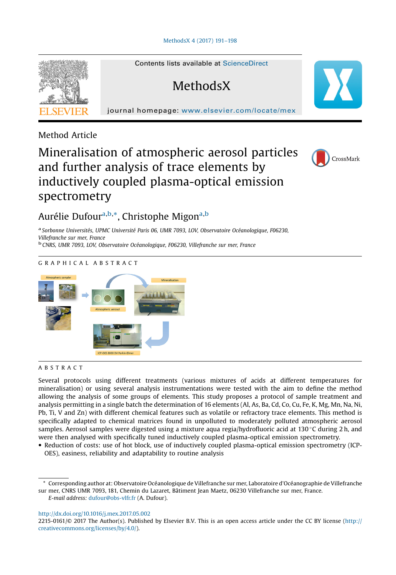#### [MethodsX 4 \(2017\) 191](http://dx.doi.org/10.1016/j.mex.2017.05.002)–198



Contents lists available at ScienceDirect

### **MethodsX**

journal homepage: <www.elsevier.com/locate/mex>

Method Article

### Mineralisation of atmospheric aerosol particles and further analysis of trace elements by inductively coupled plasma-optical emission spectrometry



### Aurélie Dufour<sup>a,b,\*</sup>, Christophe Migon<sup>a,b</sup>

<sup>a</sup> Sorbonne Universités, UPMC Université Paris 06, UMR 7093, LOV, Observatoire Océanologique, F06230, Villefranche sur mer, France<br><sup>b</sup> CNRS, UMR 7093, LOV, Observatoire Océanologique, F06230, Villefranche sur mer, France



#### ABSTRACT

Several protocols using different treatments (various mixtures of acids at different temperatures for mineralisation) or using several analysis instrumentations were tested with the aim to define the method allowing the analysis of some groups of elements. This study proposes a protocol of sample treatment and analysis permitting in a single batch the determination of 16 elements (Al, As, Ba, Cd, Co, Cu, Fe, K, Mg, Mn, Na, Ni, Pb, Ti, V and Zn) with different chemical features such as volatile or refractory trace elements. This method is specifically adapted to chemical matrices found in unpolluted to moderately polluted atmospheric aerosol samples. Aerosol samples were digested using a mixture aqua regia/hydrofluoric acid at 130 °C during 2 h, and were then analysed with specifically tuned inductively coupled plasma-optical emission spectrometry.

 Reduction of costs: use of hot block, use of inductively coupled plasma-optical emission spectrometry (ICP-OES), easiness, reliability and adaptability to routine analysis

<http://dx.doi.org/10.1016/j.mex.2017.05.002>

<sup>\*</sup> Corresponding author at: Observatoire Océanologique de Villefranche sur mer, Laboratoire d'Océanographie de Villefranche sur mer, CNRS UMR 7093, 181, Chemin du Lazaret, Bâtiment Jean Maetz, 06230 Villefranche sur mer, France.

E-mail address: [dufour@obs-vlfr.fr](undefined) (A. Dufour).

<sup>2215-0161/© 2017</sup> The Author(s). Published by Elsevier B.V. This is an open access article under the CC BY license ([http://](http://creativecommons.org/licenses/by/4.0/) [creativecommons.org/licenses/by/4.0/](http://creativecommons.org/licenses/by/4.0/)).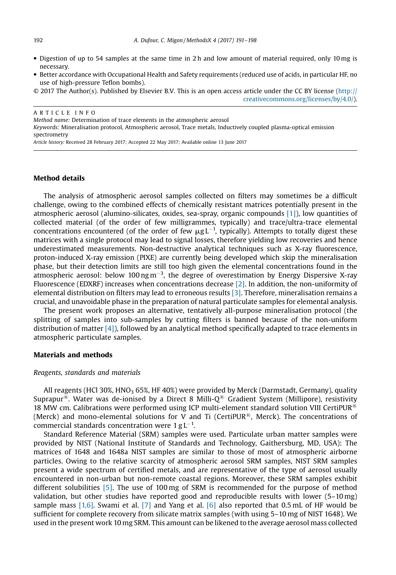- Digestion of up to 54 samples at the same time in 2 h and low amount of material required, only 10 mg is necessary.
- Better accordance with Occupational Health and Safety requirements (reduced use of acids, in particular HF, no use of high-pressure Teflon bombs).

Article history: Received 28 February 2017; Accepted 22 May 2017; Available online 13 June 2017

#### Method details

The analysis of atmospheric aerosol samples collected on filters may sometimes be a difficult challenge, owing to the combined effects of chemically resistant matrices potentially present in the atmospheric aerosol (alumino-silicates, oxides, sea-spray, organic compounds [1]), low quantities of collected material (of the order of few milligrammes, typically) and trace/ultra-trace elemental concentrations encountered (of the order of few  $\mu$ g L<sup>-1</sup>, typically). Attempts to totally digest these matrices with a single protocol may lead to signal losses, therefore yielding low recoveries and hence underestimated measurements. Non-destructive analytical techniques such as X-ray fluorescence, proton-induced X-ray emission (PIXE) are currently being developed which skip the mineralisation phase, but their detection limits are still too high given the elemental concentrations found in the atmospheric aerosol: below  $100 \text{ ng m}^{-3}$ , the degree of overestimation by Energy Dispersive X-ray Fluorescence (EDXRF) increases when concentrations decrease [2]. In addition, the non-uniformity of elemental distribution on filters may lead to erroneous results [3]. Therefore, mineralisation remains a crucial, and unavoidable phase in the preparation of natural particulate samples for elemental analysis.

The present work proposes an alternative, tentatively all-purpose mineralisation protocol (the splitting of samples into sub-samples by cutting filters is banned because of the non-uniform distribution of matter  $[4]$ ), followed by an analytical method specifically adapted to trace elements in atmospheric particulate samples.

#### Materials and methods

#### Reagents, standards and materials

All reagents (HCl 30%, HNO<sub>3</sub> 65%, HF 40%) were provided by Merck (Darmstadt, Germany), quality Suprapur<sup>®</sup>. Water was de-ionised by a Direct 8 Milli- $Q^®$  Gradient System (Millipore), resistivity 18 MW cm. Calibrations were performed using ICP multi-element standard solution VIII CertiPUR<sup>®</sup> (Merck) and mono-elemental solutions for V and Ti (CertiPUR®, Merck). The concentrations of commercial standards concentration were  $1 \text{ g L}^{-1}$ .

Standard Reference Material (SRM) samples were used. Particulate urban matter samples were provided by NIST (National Institute of Standards and Technology, Gaithersburg, MD, USA): The matrices of 1648 and 1648a NIST samples are similar to those of most of atmospheric airborne particles. Owing to the relative scarcity of atmospheric aerosol SRM samples, NIST SRM samples present a wide spectrum of certified metals, and are representative of the type of aerosol usually encountered in non-urban but non-remote coastal regions. Moreover, these SRM samples exhibit different solubilities [5]. The use of 100 mg of SRM is recommended for the purpose of method validation, but other studies have reported good and reproducible results with lower (5–10 mg) sample mass  $[1,6]$ . Swami et al.  $[7]$  and Yang et al.  $[6]$  also reported that 0.5 mL of HF would be sufficient for complete recovery from silicate matrix samples (with using 5–10 mg of NIST 1648). We used in the present work 10 mg SRM. This amount can be likened to the average aerosol mass collected

<sup>© 2017</sup> The Author(s). Published by Elsevier B.V. This is an open access article under the CC BY license ([http://](http://creativecommons.org/licenses/by/4.0/) [creativecommons.org/licenses/by/4.0/\)](http://creativecommons.org/licenses/by/4.0/).

ARTICLE INFO Method name: Determination of trace elements in the atmospheric aerosol Keywords: Mineralisation protocol, Atmospheric aerosol, Trace metals, Inductively coupled plasma-optical emission spectrometry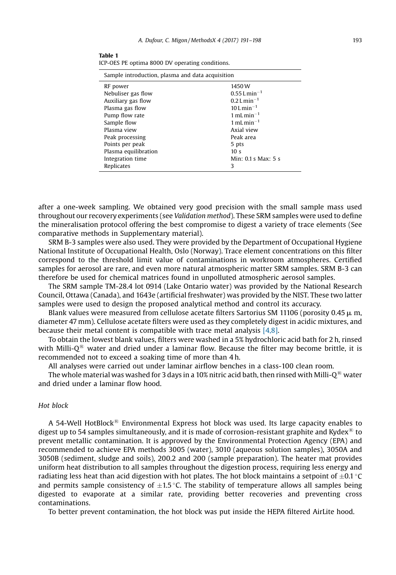| ۰. | I |
|----|---|
|    |   |

| Sample introduction, plasma and data acquisition |                                     |  |  |  |
|--------------------------------------------------|-------------------------------------|--|--|--|
| RF power                                         | 1450 W                              |  |  |  |
| Nebuliser gas flow                               | $0.55$ L min <sup>-1</sup>          |  |  |  |
| Auxiliary gas flow                               | $0.2$ L min <sup>-1</sup>           |  |  |  |
| Plasma gas flow                                  | $10$ L min <sup>-1</sup>            |  |  |  |
| Pump flow rate                                   | $1$ mL min <sup>-1</sup>            |  |  |  |
| Sample flow                                      | 1 mL min <sup><math>-1</math></sup> |  |  |  |
| Plasma view                                      | Axial view                          |  |  |  |
| Peak processing                                  | Peak area                           |  |  |  |
| Points per peak                                  | 5 pts                               |  |  |  |
| Plasma equilibration                             | 10 <sub>s</sub>                     |  |  |  |
| Integration time                                 | Min: 0.1 s Max: 5 s                 |  |  |  |
| Replicates                                       | 3                                   |  |  |  |

Table 1 ICP-OES PE optima 8000 DV operating conditions.

after a one-week sampling. We obtained very good precision with the small sample mass used throughout our recovery experiments (see Validation method). These SRM samples were used to define the mineralisation protocol offering the best compromise to digest a variety of trace elements (See comparative methods in Supplementary material).

SRM B-3 samples were also used. They were provided by the Department of Occupational Hygiene National Institute of Occupational Health, Oslo (Norway). Trace element concentrations on this filter correspond to the threshold limit value of contaminations in workroom atmospheres. Certified samples for aerosol are rare, and even more natural atmospheric matter SRM samples. SRM B-3 can therefore be used for chemical matrices found in unpolluted atmospheric aerosol samples.

The SRM sample TM-28.4 lot 0914 (Lake Ontario water) was provided by the National Research Council, Ottawa (Canada), and 1643e (artificial freshwater) was provided by the NIST. These two latter samples were used to design the proposed analytical method and control its accuracy.

Blank values were measured from cellulose acetate filters Sartorius SM 11106 (porosity 0.45  $\mu$  m, diameter 47 mm). Cellulose acetate filters were used as they completely digest in acidic mixtures, and because their metal content is compatible with trace metal analysis [4,8].

To obtain the lowest blank values, filters were washed in a 5% hydrochloric acid bath for 2 h, rinsed with Milli- $Q^{\textcircled{\tiny{(B)}}}$  water and dried under a laminar flow. Because the filter may become brittle, it is recommended not to exceed a soaking time of more than 4 h.

All analyses were carried out under laminar airflow benches in a class-100 clean room.

The whole material was washed for 3 days in a 10% nitric acid bath, then rinsed with Milli-Q<sup>®</sup> water and dried under a laminar flow hood.

#### Hot block

A 54-Well HotBlock<sup>®</sup> Environmental Express hot block was used. Its large capacity enables to digest up to 54 samples simultaneously, and it is made of corrosion-resistant graphite and Kydex<sup>®</sup> to prevent metallic contamination. It is approved by the Environmental Protection Agency (EPA) and recommended to achieve EPA methods 3005 (water), 3010 (aqueous solution samples), 3050A and 3050B (sediment, sludge and soils), 200.2 and 200 (sample preparation). The heater mat provides uniform heat distribution to all samples throughout the digestion process, requiring less energy and radiating less heat than acid digestion with hot plates. The hot block maintains a setpoint of  $\pm 0.1$  °C and permits sample consistency of  $\pm$ 1.5 °C. The stability of temperature allows all samples being digested to evaporate at a similar rate, providing better recoveries and preventing cross contaminations.

To better prevent contamination, the hot block was put inside the HEPA filtered AirLite hood.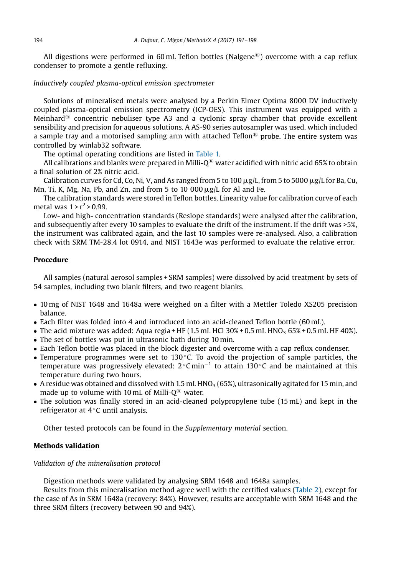All digestions were performed in 60 mL Teflon bottles (Nalgene<sup>®</sup>) overcome with a cap reflux condenser to promote a gentle refluxing.

#### Inductively coupled plasma-optical emission spectrometer

Solutions of mineralised metals were analysed by a Perkin Elmer Optima 8000 DV inductively coupled plasma-optical emission spectrometry (ICP-OES). This instrument was equipped with a Meinhard<sup>®</sup> concentric nebuliser type A3 and a cyclonic spray chamber that provide excellent sensibility and precision for aqueous solutions. A AS-90 series autosampler was used, which included a sample tray and a motorised sampling arm with attached Teflon<sup>®</sup> probe. The entire system was controlled by winlab32 software.

The optimal operating conditions are listed in Table 1.

All calibrations and blanks were prepared in Milli-O $^{\circledR}$  water acidified with nitric acid 65% to obtain a final solution of 2% nitric acid.

Calibration curves for Cd, Co, Ni, V, and As ranged from 5 to 100  $\mu$ g/L, from 5 to 5000  $\mu$ g/L for Ba, Cu, Mn, Ti, K, Mg, Na, Pb, and Zn, and from 5 to 10 000  $\mu$ g/L for Al and Fe.

The calibration standards were stored in Teflon bottles. Linearity value for calibration curve of each metal was  $1 > r^2 > 0.99$ .

Low- and high- concentration standards (Reslope standards) were analysed after the calibration, and subsequently after every 10 samples to evaluate the drift of the instrument. If the drift was >5%, the instrument was calibrated again, and the last 10 samples were re-analysed. Also, a calibration check with SRM TM-28.4 lot 0914, and NIST 1643e was performed to evaluate the relative error.

#### Procedure

All samples (natural aerosol samples + SRM samples) were dissolved by acid treatment by sets of 54 samples, including two blank filters, and two reagent blanks.

- 10 mg of NIST 1648 and 1648a were weighed on a filter with a Mettler Toledo XS205 precision balance.
- Each filter was folded into 4 and introduced into an acid-cleaned Teflon bottle (60 mL).
- The acid mixture was added: Aqua regia + HF  $(1.5 \text{ mL HCl } 30\% + 0.5 \text{ mL HNO}_3 65\% + 0.5 \text{ mL HF } 40\%).$
- The set of bottles was put in ultrasonic bath during 10 min.
- Each Teflon bottle was placed in the block digester and overcome with a cap reflux condenser.
- Temperature programmes were set to 130 °C. To avoid the projection of sample particles, the temperature was progressively elevated:  $2^{\circ}$ C min<sup>-1</sup> to attain 130  $^{\circ}$ C and be maintained at this temperature during two hours.
- A residue was obtained and dissolved with 1.5 mL HNO<sub>3</sub> (65%), ultrasonically agitated for 15 min, and made up to volume with 10 mL of Milli- $Q^{\text{B}}$  water.
- The solution was finally stored in an acid-cleaned polypropylene tube (15 mL) and kept in the refrigerator at  $4^{\circ}$ C until analysis.

Other tested protocols can be found in the Supplementary material section.

#### Methods validation

Validation of the mineralisation protocol

Digestion methods were validated by analysing SRM 1648 and 1648a samples.

Results from this mineralisation method agree well with the certified values (Table 2), except for the case of As in SRM 1648a (recovery: 84%). However, results are acceptable with SRM 1648 and the three SRM filters (recovery between 90 and 94%).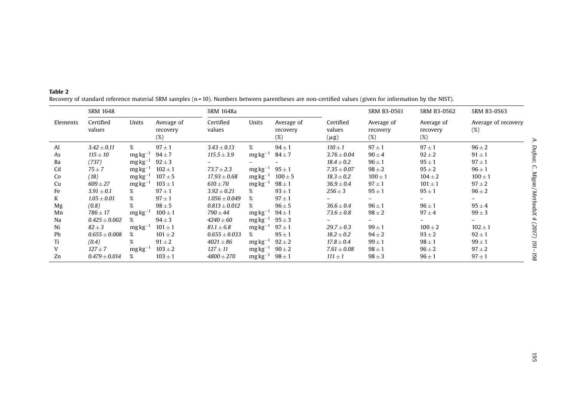|          | <b>SRM 1648</b>     |               |                                  | SRM 1648a           |               |                               |                                  | SRM B3-0561                      | SRM B3-0562                      | SRM B3-0563                   |
|----------|---------------------|---------------|----------------------------------|---------------------|---------------|-------------------------------|----------------------------------|----------------------------------|----------------------------------|-------------------------------|
| Elements | Certified<br>values | Units         | Average of<br>recovery<br>$(\%)$ | Certified<br>values | Units         | Average of<br>recovery<br>(%) | Certified<br>values<br>$(\mu g)$ | Average of<br>recovery<br>$(\%)$ | Average of<br>recovery<br>$(\%)$ | Average of recovery<br>(%)    |
| Al       | $3.42 \pm 0.11$     | %             | $97 \pm 1$                       | $3.43 \pm 0.13$     | $\%$          | $94 \pm 1$                    | $110 \pm 1$                      | $97 \pm 1$                       | $97 \pm 1$                       | $96 \pm 2$                    |
| As       | $115 \pm 10$        | $mg\,kg^{-1}$ | $94 \pm 7$                       | $115.5 \pm 3.9$     | $mg\,kg^{-1}$ | $84 \pm 7$                    | $3.76 \pm 0.04$                  | $90 \pm 4$                       | $92 \pm 2$                       | Dufour,<br>$91 \pm 1$         |
| Ba       | (737)               | $mg\,kg^{-1}$ | $92 \pm 3$                       |                     |               |                               | $18.4 \pm 0.2$                   | $96 \pm 1$                       | $95 \pm 1$                       | $97 \pm 1$                    |
| Cd       | $75 \pm 7$          | $mg\,kg^{-1}$ | $102 \pm 1$                      | $73.7 \pm 2.3$      | $mg\,kg^{-1}$ | $95 \pm 1$                    | $7.35 \pm 0.07$                  | $98 \pm 2$                       | $95 \pm 2$                       | $96 \pm 1$                    |
| Co       | (18)                | $mg\,kg^{-1}$ | $107 \pm 5$                      | $17.93 \pm 0.68$    | $mg\,kg^{-1}$ | $100 \pm 5$                   | $18.3 \pm 0.2$                   | $100 \pm 1$                      | $104 \pm 2$                      | Migon/MethodsX<br>$100 \pm 1$ |
| Cu       | $609 \pm 27$        | $mg\,kg^{-1}$ | $103 \pm 1$                      | $610 \pm 70$        | $mg\,kg^{-1}$ | $98 \pm 1$                    | $36.9 \pm 0.4$                   | $97 \pm 1$                       | $101 \pm 1$                      | $97 \pm 2$                    |
| Fe       | $3.91 \pm 0.1$      | %             | $97 \pm 1$                       | $3.92 \pm 0.21$     | %             | $93 \pm 1$                    | $256 \pm 3$                      | $95 \pm 1$                       | $95 \pm 1$                       | $96 \pm 2$                    |
| K        | $1.05 \pm 0.01$     | %             | $97 \pm 1$                       | $1.056 \pm 0.049$   | %             | $97 \pm 1$                    |                                  |                                  |                                  |                               |
| Mg       | (0.8)               | $\%$          | $98 \pm 5$                       | $0.813 \pm 0.012$   | %             | $96 \pm 5$                    | $36.6 \pm 0.4$                   | $96 \pm 1$                       | $96 \pm 1$                       | $95 \pm 4$                    |
| Mn       | $786 \pm 17$        | $mg\,kg^{-1}$ | $100 \pm 1$                      | $790 \pm 44$        | $mg\,kg^{-1}$ | $94 \pm 1$                    | $73.6 \pm 0.8$                   | $98 \pm 2$                       | $97 \pm 4$                       | $99 \pm 3$                    |
| Na       | $0.425 \pm 0.002$   | %             | $94 \pm 3$                       | $4240\pm60$         | $mg\,kg^{-1}$ | $95 \pm 3$                    |                                  |                                  |                                  |                               |
| Ni       | $82 \pm 3$          | $mg\,kg^{-1}$ | $101 \pm 1$                      | $81.1 \pm 6.8$      | $mg\,kg^{-1}$ | $97 \pm 1$                    | $29.7 \pm 0.3$                   | $99 \pm 1$                       | $100 \pm 2$                      | $102 \pm 1$                   |
| Pb       | $0.655 \pm 0.008$   | $\%$          | $101 \pm 2$                      | $0.655 \pm 0.033$   | %             | $95 \pm 1$                    | $18.2 \pm 0.2$                   | $94 \pm 2$                       | $93 \pm 2$                       | (2017)<br>$92 \pm 1$          |
| Ti       | (0.4)               | %             | $91 \pm 2$                       | $4021 \pm 86$       | $mg\,kg^{-1}$ | $92 \pm 2$                    | $17.8 \pm 0.4$                   | $99 \pm 1$                       | $98 \pm 1$                       | $99 \pm 1$                    |
| V        | $127 \pm 7$         | $mg\,kg^{-1}$ | $103 \pm 2$                      | $127 \pm 11$        | $mg\,kg^{-1}$ | $90 \pm 2$                    | $7.61 \pm 0.08$                  | $98 \pm 1$                       | $96 \pm 2$                       | $97 \pm 2$                    |
| Zn       | $0.479 \pm 0.014$   | %             | $103 \pm 1$                      | $4800 \pm 270$      | $mg\,kg^-$    | $98 \pm 1$                    | $111 \pm 1$                      | $98 \pm 3$                       | $96 \pm 1$                       | 198<br>$97 \pm 1$             |

Table 2 Recovery of standard reference material SRM samples (n = 10). Numbers between parentheses are non-certified values (given for information by the NIST).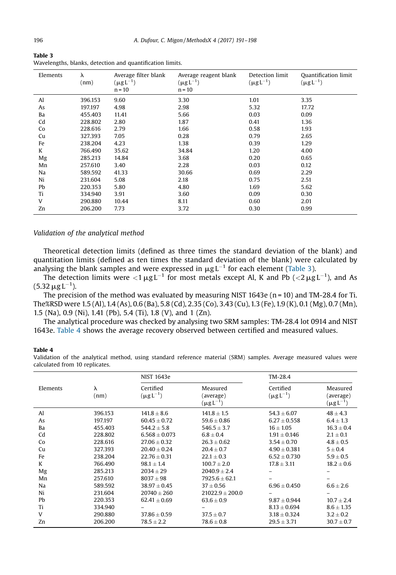| Table 3                                                   |  |  |
|-----------------------------------------------------------|--|--|
| Wavelengths, blanks, detection and quantification limits. |  |  |

| Elements | λ<br>(nm) | Average filter blank<br>$(\mu g L^{-1})$<br>$n = 10$ | Average reagent blank<br>$(\mu g L^{-1})$<br>$n = 10$ | Detection limit<br>$(\mu g L^{-1})$ | <b>Quantification limit</b><br>$(\mu g L^{-1})$ |
|----------|-----------|------------------------------------------------------|-------------------------------------------------------|-------------------------------------|-------------------------------------------------|
| Al       | 396.153   | 9.60                                                 | 3.30                                                  | 1.01                                | 3.35                                            |
| As       | 197.197   | 4.98                                                 | 2.98                                                  | 5.32                                | 17.72                                           |
| Ba       | 455.403   | 11.41                                                | 5.66                                                  | 0.03                                | 0.09                                            |
| Cd       | 228.802   | 2.80                                                 | 1.87                                                  | 0.41                                | 1.36                                            |
| Co       | 228.616   | 2.79                                                 | 1.66                                                  | 0.58                                | 1.93                                            |
| Cu       | 327.393   | 7.05                                                 | 0.28                                                  | 0.79                                | 2.65                                            |
| Fe       | 238.204   | 4.23                                                 | 1.38                                                  | 0.39                                | 1.29                                            |
| K        | 766.490   | 35.62                                                | 34.84                                                 | 1.20                                | 4.00                                            |
| Mg       | 285.213   | 14.84                                                | 3.68                                                  | 0.20                                | 0.65                                            |
| Mn       | 257.610   | 3.40                                                 | 2.28                                                  | 0.03                                | 0.12                                            |
| Na       | 589.592   | 41.33                                                | 30.66                                                 | 0.69                                | 2.29                                            |
| Ni       | 231.604   | 5.08                                                 | 2.18                                                  | 0.75                                | 2.51                                            |
| Pb       | 220.353   | 5.80                                                 | 4.80                                                  | 1.69                                | 5.62                                            |
| Ti       | 334.940   | 3.91                                                 | 3.60                                                  | 0.09                                | 0.30                                            |
| V        | 290.880   | 10.44                                                | 8.11                                                  | 0.60                                | 2.01                                            |
| Zn       | 206.200   | 7.73                                                 | 3.72                                                  | 0.30                                | 0.99                                            |

#### Validation of the analytical method

Theoretical detection limits (defined as three times the standard deviation of the blank) and quantitation limits (defined as ten times the standard deviation of the blank) were calculated by analysing the blank samples and were expressed in  $\mu$ g L<sup>-1</sup> for each element (Table 3).

The detection limits were  $<$ 1  $\mu$ g $\rm L^{-1}$  for most metals except Al, K and Pb ( $<$ 2  $\mu$ g $\rm L^{-1}$ ), and As (5.32  $\mu$ g L<sup>-1</sup>).

The precision of the method was evaluated by measuring NIST 1643e ( $n = 10$ ) and TM-28.4 for Ti. The%RSD were 1.5 (Al), 1.4 (As), 0.6 (Ba), 5.8 (Cd), 2.35 (Co), 3.43 (Cu),1.3 (Fe),1.9 (K), 0.1 (Mg), 0.7 (Mn), 1.5 (Na), 0.9 (Ni), 1.41 (Pb), 5.4 (Ti), 1.8 (V), and 1 (Zn).

The analytical procedure was checked by analysing two SRM samples: TM-28.4 lot 0914 and NIST 1643e. Table 4 shows the average recovery observed between certified and measured values.

#### Table 4

Validation of the analytical method, using standard reference material (SRM) samples. Average measured values were calculated from 10 replicates.

|          |           | <b>NIST 1643e</b>             |                                           | TM-28.4                       |                                           |  |
|----------|-----------|-------------------------------|-------------------------------------------|-------------------------------|-------------------------------------------|--|
| Elements | λ<br>(nm) | Certified<br>$(\mu g L^{-1})$ | Measured<br>(average)<br>$(\mu g L^{-1})$ | Certified<br>$(\mu g L^{-1})$ | Measured<br>(average)<br>$(\mu g L^{-1})$ |  |
| Al       | 396.153   | $141.8 \pm 8.6$               | $141.8 \pm 1.5$                           | $54.3 \pm 6.07$               | $48 \pm 4.3$                              |  |
| As       | 197.197   | $60.45 + 0.72$                | $59.6 \pm 0.86$                           | $6.27 + 0.558$                | $6.4 \pm 1.3$                             |  |
| Ba       | 455.403   | $544.2 \pm 5.8$               | $546.5 + 3.7$                             | $16 + 1.05$                   | $16.3 \pm 0.4$                            |  |
| Cd       | 228.802   | $6.568 + 0.073$               | $6.8 \pm 0.4$                             | $1.91 + 0.146$                | $2.1 \pm 0.1$                             |  |
| Co       | 228.616   | $27.06 \pm 0.32$              | $26.3 \pm 0.62$                           | $3.54 \pm 0.70$               | $4.8\pm0.5$                               |  |
| Cu       | 327.393   | $20.40 \pm 0.24$              | $20.4 \pm 0.7$                            | $4.90 \pm 0.381$              | $5 \pm 0.4$                               |  |
| Fe       | 238.204   | $22.76 + 0.31$                | $22.1 + 0.3$                              | $6.52 + 0.730$                | $5.9 + 0.5$                               |  |
| K        | 766.490   | $98.1 + 1.4$                  | $100.7 + 2.0$                             | $17.8 \pm 3.11$               | $18.2 \pm 0.6$                            |  |
| Mg       | 285.213   | $2034 + 29$                   | $2040.9 + 2.4$                            |                               |                                           |  |
| Mn       | 257.610   | $8037 + 98$                   | $7925.6 + 62.1$                           |                               |                                           |  |
| Na       | 589.592   | $38.97 + 0.45$                | $37 + 0.56$                               | $6.96 + 0.450$                | $6.6 \pm 2.6$                             |  |
| Ni       | 231.604   | $20740 + 260$                 | $21022.9 + 200.0$                         |                               |                                           |  |
| Pb       | 220.353   | $62.41 \pm 0.69$              | $63.6 \pm 0.9$                            | $9.87 + 0.944$                | $10.7 \pm 2.4$                            |  |
| Ti       | 334.940   |                               |                                           | $8.13 + 0.694$                | $8.6 + 1.35$                              |  |
| V        | 290.880   | $37.86 \pm 0.59$              | $37.5 \pm 0.7$                            | $3.18 \pm 0.324$              | $3.2 \pm 0.2$                             |  |
| Zn       | 206.200   | $78.5 \pm 2.2$                | $78.6 \pm 0.8$                            | $29.5 \pm 3.71$               | $30.7 \pm 0.7$                            |  |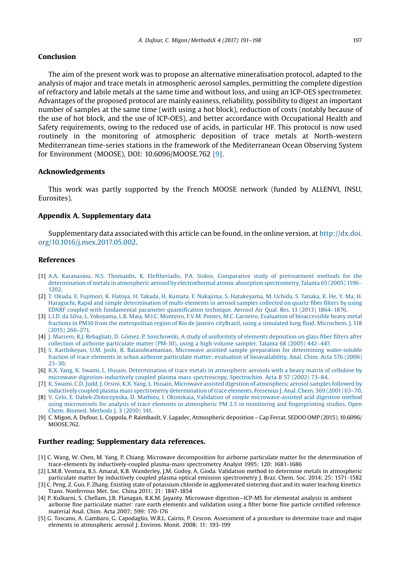#### Conclusion

The aim of the present work was to propose an alternative mineralisation protocol, adapted to the analysis of major and trace metals in atmospheric aerosol samples, permitting the complete digestion of refractory and labile metals at the same time and without loss, and using an ICP-OES spectrometer. Advantages of the proposed protocol are mainly easiness, reliability, possibility to digest an important number of samples at the same time (with using a hot block), reduction of costs (notably because of the use of hot block, and the use of ICP-OES), and better accordance with Occupational Health and Safety requirements, owing to the reduced use of acids, in particular HF. This protocol is now used routinely in the monitoring of atmospheric deposition of trace metals at North-western Mediterranean time-series stations in the framework of the Mediterranean Ocean Observing System for Environment (MOOSE), DOI: 10.6096/MOOSE.762 [9].

#### Acknowledgements

This work was partly supported by the French MOOSE network (funded by ALLENVI, INSU, Eurosites).

#### Appendix A. Supplementary data

Supplementary data associated with this article can be found, in the online version, at [http://dx.doi.](http://dx.doi.org/10.1016/j.mex.2017.05.002) [org/10.1016/j.mex.2017.05.002.](http://dx.doi.org/10.1016/j.mex.2017.05.002)

#### References

- [1] [A.A. Karanasiou, N.S. Thomaidis, K. Eleftheriadis, P.A. Siskos, Comparative study of pretreatment methods for the](http://refhub.elsevier.com/S2215-0161(17)30017-1/sbref0005) [determination of metals in atmospheric aerosol by electrothermal atomic absorption spectrometry, Talanta 65 \(2005\) 1196](http://refhub.elsevier.com/S2215-0161(17)30017-1/sbref0005)– [1202](http://refhub.elsevier.com/S2215-0161(17)30017-1/sbref0005).
- [2] [T. Okuda, E. Fujimori, K. Hatoya, H. Takada, H. Kumata, F. Nakajima, S. Hatakeyama, M. Uchida, S. Tanaka, K. He, Y. Ma, H.](http://refhub.elsevier.com/S2215-0161(17)30017-1/sbref0010) [Haraguchi, Rapid and simple determination of multi-elements in aerosol samples collected on quartz](http://refhub.elsevier.com/S2215-0161(17)30017-1/sbref0010) fiber filters by using EDXRF coupled with fundamental parameter quantifi[cation technique, Aerosol Air Qual. Res. 13 \(2013\) 1864](http://refhub.elsevier.com/S2215-0161(17)30017-1/sbref0010)–1876.
- [3] [L.I.D. da Silva, L. Yokoyama, L.B. Maia, M.I.C. Monteiro, F.V.M. Pontes, M.C. Carneiro, Evaluation of bioaccessible heavy metal](http://refhub.elsevier.com/S2215-0161(17)30017-1/sbref0015) [fractions in PM10 from the metropolitan region of Rio de Janeiro cityBrazil, using a simulated lung](http://refhub.elsevier.com/S2215-0161(17)30017-1/sbref0015) fluid, Microchem. J. 118 [\(2015\) 266](http://refhub.elsevier.com/S2215-0161(17)30017-1/sbref0015)–271.
- [4] [J. Marrero, R.J. Rebagliati, D. Gómez, P. Smichowski, A study of uniformity of elements deposition on glass](http://refhub.elsevier.com/S2215-0161(17)30017-1/sbref0020) fiber filters after [collection of airborne particulate matter \(PM-10\), using a high-volume sampler, Talanta 68 \(2005\) 442](http://refhub.elsevier.com/S2215-0161(17)30017-1/sbref0020)–447.
- [5] [S. Karthikeyan, U.M. Joshi, R. Balasubramanian, Microwave assisted sample preparation for determining water-soluble](http://refhub.elsevier.com/S2215-0161(17)30017-1/sbref0025) [fraction of trace elements in urban airborne particulate matter: evaluation of bioavailability, Anal. Chim. Acta 576 \(2006\)](http://refhub.elsevier.com/S2215-0161(17)30017-1/sbref0025) [23](http://refhub.elsevier.com/S2215-0161(17)30017-1/sbref0025)–30.
- [6] [K.X. Yang, K. Swami, L. Husain, Determination of trace metals in atmospheric aerosols with a heavy matrix of cellulose by](http://refhub.elsevier.com/S2215-0161(17)30017-1/sbref0030) [microwave digestion-inductively coupled plasma mass spectroscopy, Spectrochim. Acta B 57 \(2002\) 73](http://refhub.elsevier.com/S2215-0161(17)30017-1/sbref0030)–84.
- [7] [K. Swami, C.D. Judd, J. Orsini, K.X. Yang, L. Husain, Microwave assisted digestion of atmospheric aerosol samples followed by](http://refhub.elsevier.com/S2215-0161(17)30017-1/sbref0035) [inductively coupled plasma mass spectrometry determination of trace elements, Fresenius J. Anal. Chem. 369 \(2001\) 63](http://refhub.elsevier.com/S2215-0161(17)30017-1/sbref0035)–70.
- [8] [V. Celo, E. Dabek-Zlotorzynska, D. Mathieu, I. Okonskaia, Validation of simple microwave-assisted acid digestion method](http://refhub.elsevier.com/S2215-0161(17)30017-1/sbref0040) [using microvessels for analysis of trace elements in atmospheric PM 2.5 in monitoring and](http://refhub.elsevier.com/S2215-0161(17)30017-1/sbref0040) fingerprinting studies, Open [Chem. Biomed. Methods J. 3 \(2010\) 141.](http://refhub.elsevier.com/S2215-0161(17)30017-1/sbref0040)
- [9] C. Migon, A. Dufour, L. Coppola, P. Raimbault, V. Lagadec, Atmospheric deposition Cap Ferrat. SEDOO OMP (2015). 10.6096/ MOOSE.762.

#### Further reading: Supplementary data references.

- [1] C. Wang, W. Chen, M. Yang, P. Chiang. Microwave decomposition for airborne particulate matter for the determination of trace-elements by inductively-coupled plasma-mass spectrometry Analyst 1995; 120: 1681-1686
- [2] L.M.B. Ventura, B.S. Amaral, K.B. Wanderley, J.M. Godoy, A. Gioda. Validation method to determine metals in atmospheric particulate matter by inductively coupled plasma optical emission spectrometry J. Braz. Chem. Soc. 2014; 25: 1571-1582 [3] C. Peng, Z. Guo, F. Zhang. Existing state of potassium chloride in agglomerated sintering dust and its water leaching kinetics
- Trans. Nonferrous Met. Soc. China 2011; 21: 1847-1854 [4] P. Kulkarni, S. Chellam, J.B. Flanagan, R.K.M. Jayanty. Microwave digestion—ICP-MS for elemental analysis in ambient
- airborne fine particulate matter: rare earth elements and validation using a filter borne fine particle certified reference material Anal. Chim. Acta 2007; 599: 170-176
- [5] G. Toscano, A. Gambaro, G. Capodaglio, W.R.L. Cairns, P. Cescon. Assessment of a procedure to determine trace and major elements in atmospheric aerosol J. Environ. Monit. 2008; 11: 193-199